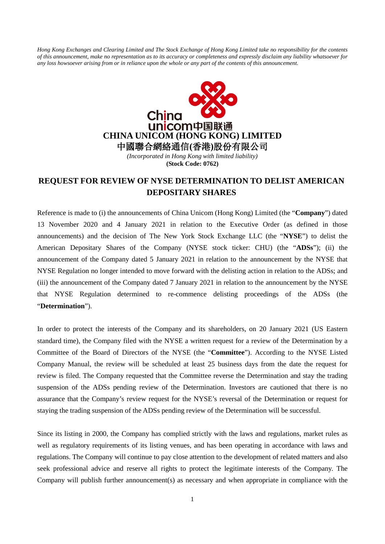*Hong Kong Exchanges and Clearing Limited and The Stock Exchange of Hong Kong Limited take no responsibility for the contents of this announcement, make no representation as to its accuracy or completeness and expressly disclaim any liability whatsoever for any loss howsoever arising from or in reliance upon the whole or any part of the contents of this announcement.*



*(Incorporated in Hong Kong with limited liability)* **(Stock Code: 0762)**

## **REQUEST FOR REVIEW OF NYSE DETERMINATION TO DELIST AMERICAN DEPOSITARY SHARES**

Reference is made to (i) the announcements of China Unicom (Hong Kong) Limited (the "**Company**") dated 13 November 2020 and 4 January 2021 in relation to the Executive Order (as defined in those announcements) and the decision of The New York Stock Exchange LLC (the "**NYSE**") to delist the American Depositary Shares of the Company (NYSE stock ticker: CHU) (the "**ADSs**"); (ii) the announcement of the Company dated 5 January 2021 in relation to the announcement by the NYSE that NYSE Regulation no longer intended to move forward with the delisting action in relation to the ADSs; and (iii) the announcement of the Company dated 7 January 2021 in relation to the announcement by the NYSE that NYSE Regulation determined to re-commence delisting proceedings of the ADSs (the "**Determination**").

In order to protect the interests of the Company and its shareholders, on 20 January 2021 (US Eastern standard time), the Company filed with the NYSE a written request for a review of the Determination by a Committee of the Board of Directors of the NYSE (the "**Committee**"). According to the NYSE Listed Company Manual, the review will be scheduled at least 25 business days from the date the request for review is filed. The Company requested that the Committee reverse the Determination and stay the trading suspension of the ADSs pending review of the Determination. Investors are cautioned that there is no assurance that the Company's review request for the NYSE's reversal of the Determination or request for staying the trading suspension of the ADSs pending review of the Determination will be successful.

Since its listing in 2000, the Company has complied strictly with the laws and regulations, market rules as well as regulatory requirements of its listing venues, and has been operating in accordance with laws and regulations. The Company will continue to pay close attention to the development of related matters and also seek professional advice and reserve all rights to protect the legitimate interests of the Company. The Company will publish further announcement(s) as necessary and when appropriate in compliance with the